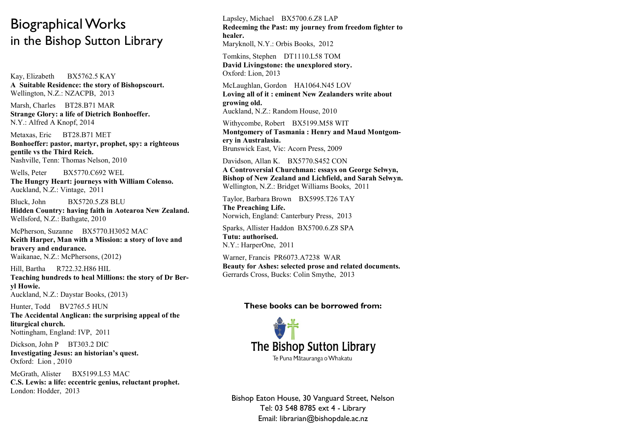## Biographical Works in the Bishop Sutton Library

Kay, Elizabeth BX5762.5 KAY **A Suitable Residence: the story of Bishopscourt.** Wellington, N.Z.: NZACPB, 2013

Marsh, Charles BT28.B71 MAR **Strange Glory: a life of Dietrich Bonhoeffer.** N.Y.: Alfred A Knopf, 2014

Metaxas, Eric BT28.B71 MET **Bonhoeffer: pastor, martyr, prophet, spy: a righteous gentile vs the Third Reich.** Nashville, Tenn: Thomas Nelson, 2010

Wells, Peter BX5770.C692 WEL **The Hungry Heart: journeys with William Colenso.** Auckland, N.Z.: Vintage, 2011

Bluck, John BX5720.5.Z8 BLU **Hidden Country: having faith in Aotearoa New Zealand.** Wellsford, N.Z.: Bathgate, 2010

McPherson, Suzanne BX5770.H3052 MAC **Keith Harper, Man with a Mission: a story of love and bravery and endurance.** Waikanae, N.Z.: McPhersons, (2012)

Hill, Bartha R722.32.H86 HIL **Teaching hundreds to heal Millions: the story of Dr Beryl Howie.** Auckland, N.Z.: Daystar Books, (2013)

Hunter, Todd BV2765.5 HUN **The Accidental Anglican: the surprising appeal of the liturgical church.** Nottingham, England: IVP, 2011

Dickson, John P BT303.2 DIC **Investigating Jesus: an historian's quest.** Oxford: Lion , 2010

McGrath, Alister BX5199.L53 MAC **C.S. Lewis: a life: eccentric genius, reluctant prophet.** London: Hodder, 2013

Lapsley, Michael BX5700.6.Z8 LAP **Redeeming the Past: my journey from freedom fighter to healer.** Maryknoll, N.Y.: Orbis Books, 2012

Tomkins, Stephen DT1110.L58 TOM **David Livingstone: the unexplored story.** Oxford: Lion, 2013

McLaughlan, Gordon HA1064.N45 LOV **Loving all of it : eminent New Zealanders write about growing old.** Auckland, N.Z.: Random House, 2010

Withycombe, Robert BX5199.M58 WIT **Montgomery of Tasmania : Henry and Maud Montgomery in Australasia.** Brunswick East, Vic: Acorn Press, 2009

Davidson, Allan K. BX5770.S452 CON **A Controversial Churchman: essays on George Selwyn, Bishop of New Zealand and Lichfield, and Sarah Selwyn.** Wellington, N.Z.: Bridget Williams Books, 2011

Taylor, Barbara Brown BX5995.T26 TAY **The Preaching Life.** Norwich, England: Canterbury Press, 2013

Sparks, Allister Haddon BX5700.6.Z8 SPA **Tutu: authorised.** N.Y.: HarperOne, 2011

Warner, Francis PR6073.A7238 WAR **Beauty for Ashes: selected prose and related documents.** Gerrards Cross, Bucks: Colin Smythe, 2013

## **These books can be borrowed from:**



Bishop Eaton House, 30 Vanguard Street, Nelson Tel: 03 548 8785 ext 4 - Library Email: librarian@bishopdale.ac.nz